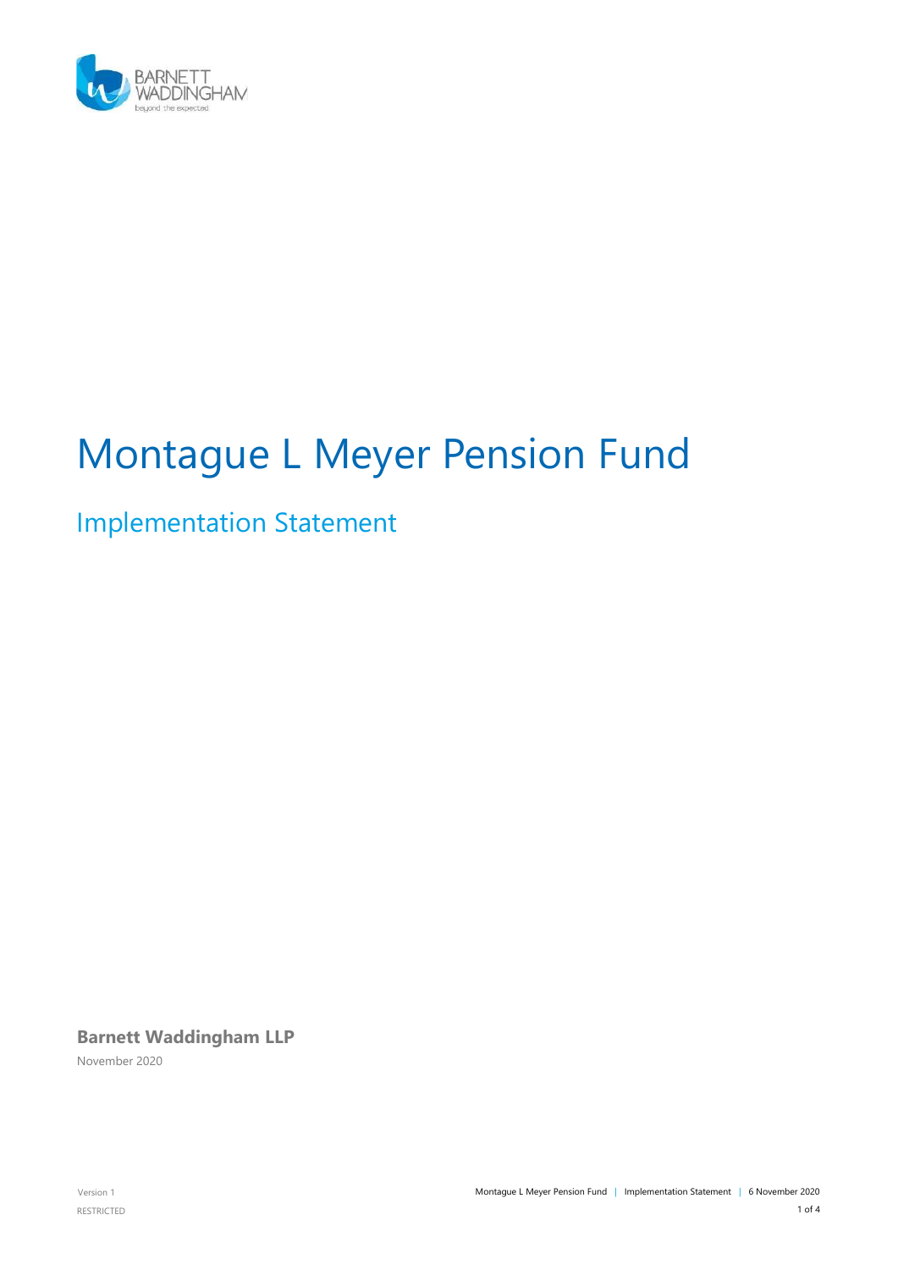

# Montague L Meyer Pension Fund

## Implementation Statement

**Barnett Waddingham LLP**

November 2020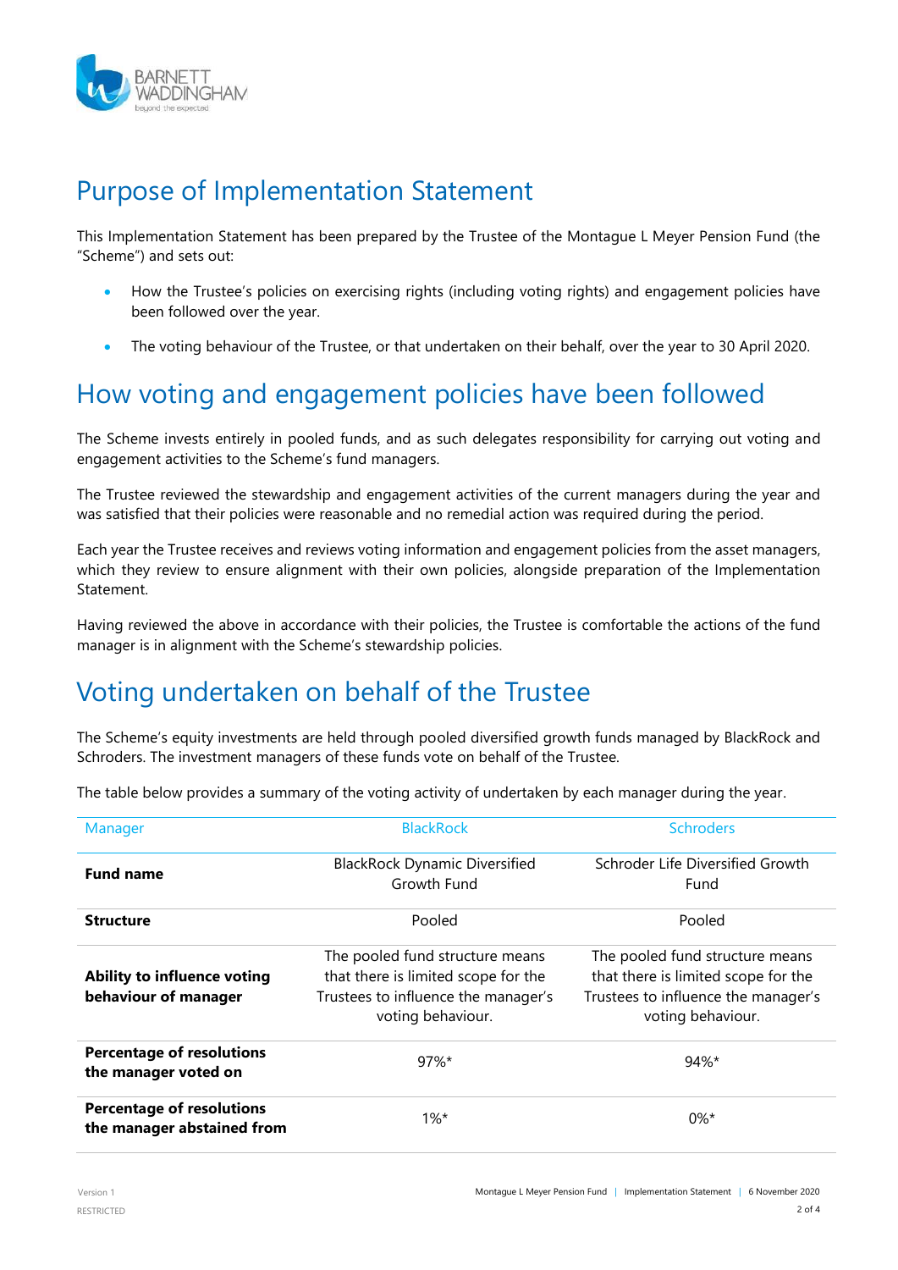

#### Purpose of Implementation Statement

This Implementation Statement has been prepared by the Trustee of the Montague L Meyer Pension Fund (the "Scheme") and sets out:

- How the Trustee's policies on exercising rights (including voting rights) and engagement policies have been followed over the year.
- The voting behaviour of the Trustee, or that undertaken on their behalf, over the year to 30 April 2020.

### How voting and engagement policies have been followed

The Scheme invests entirely in pooled funds, and as such delegates responsibility for carrying out voting and engagement activities to the Scheme's fund managers.

The Trustee reviewed the stewardship and engagement activities of the current managers during the year and was satisfied that their policies were reasonable and no remedial action was required during the period.

Each year the Trustee receives and reviews voting information and engagement policies from the asset managers, which they review to ensure alignment with their own policies, alongside preparation of the Implementation **Statement** 

Having reviewed the above in accordance with their policies, the Trustee is comfortable the actions of the fund manager is in alignment with the Scheme's stewardship policies.

### Voting undertaken on behalf of the Trustee

The Scheme's equity investments are held through pooled diversified growth funds managed by BlackRock and Schroders. The investment managers of these funds vote on behalf of the Trustee.

The table below provides a summary of the voting activity of undertaken by each manager during the year.

| Manager                                                        | <b>BlackRock</b>                                                                                                                   | <b>Schroders</b>                                                                                                                   |  |
|----------------------------------------------------------------|------------------------------------------------------------------------------------------------------------------------------------|------------------------------------------------------------------------------------------------------------------------------------|--|
| <b>Fund name</b>                                               | <b>BlackRock Dynamic Diversified</b><br>Growth Fund                                                                                | Schroder Life Diversified Growth<br>Fund                                                                                           |  |
| <b>Structure</b>                                               | Pooled                                                                                                                             | Pooled                                                                                                                             |  |
| <b>Ability to influence voting</b><br>behaviour of manager     | The pooled fund structure means<br>that there is limited scope for the<br>Trustees to influence the manager's<br>voting behaviour. | The pooled fund structure means<br>that there is limited scope for the<br>Trustees to influence the manager's<br>voting behaviour. |  |
| <b>Percentage of resolutions</b><br>the manager voted on       | $97\%$ *                                                                                                                           | $94\%$ *                                                                                                                           |  |
| <b>Percentage of resolutions</b><br>the manager abstained from | $1\%^*$                                                                                                                            | $0\%^*$                                                                                                                            |  |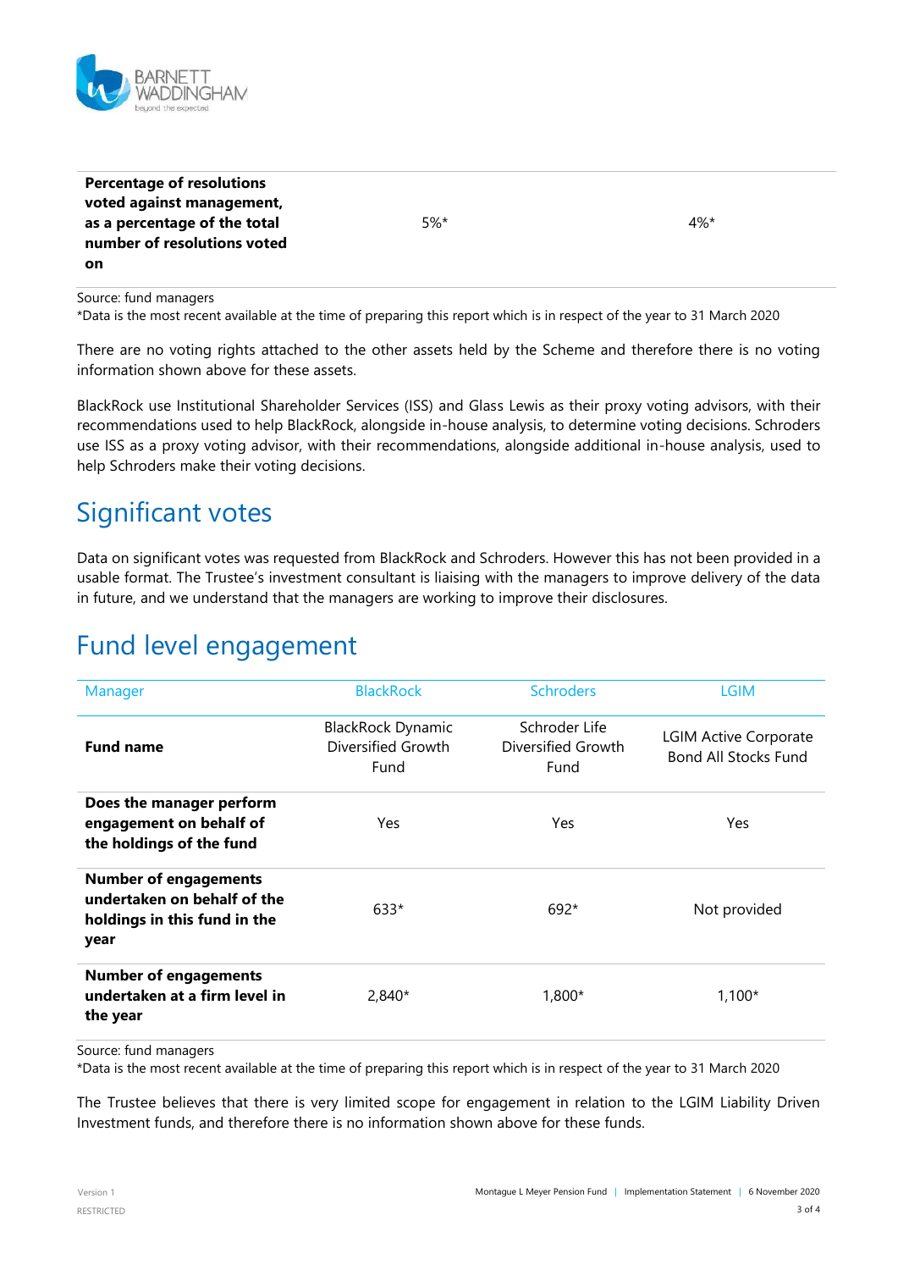

| <b>Percentage of resolutions</b> |        |        |
|----------------------------------|--------|--------|
| voted against management,        |        |        |
| as a percentage of the total     | $5%$ * | $4\%*$ |
| number of resolutions voted      |        |        |
| on                               |        |        |

Source: fund managers

\*Data is the most recent available at the time of preparing this report which is in respect of the year to 31 March 2020

There are no voting rights attached to the other assets held by the Scheme and therefore there is no voting information shown above for these assets.

BlackRock use Institutional Shareholder Services (ISS) and Glass Lewis as their proxy voting advisors, with their recommendations used to help BlackRock, alongside in-house analysis, to determine voting decisions. Schroders use ISS as a proxy voting advisor, with their recommendations, alongside additional in-house analysis, used to help Schroders make their voting decisions.

#### Significant votes

Data on significant votes was requested from BlackRock and Schroders. However this has not been provided in a usable format. The Trustee's investment consultant is liaising with the managers to improve delivery of the data in future, and we understand that the managers are working to improve their disclosures.

#### Fund level engagement

| Manager                                                                                             | <b>BlackRock</b>                                       | <b>Schroders</b>                            | <b>LGIM</b>                                                 |
|-----------------------------------------------------------------------------------------------------|--------------------------------------------------------|---------------------------------------------|-------------------------------------------------------------|
| <b>Fund name</b>                                                                                    | <b>BlackRock Dynamic</b><br>Diversified Growth<br>Fund | Schroder Life<br>Diversified Growth<br>Fund | <b>LGIM Active Corporate</b><br><b>Bond All Stocks Fund</b> |
| Does the manager perform<br>engagement on behalf of<br>the holdings of the fund                     | Yes                                                    | Yes                                         | Yes.                                                        |
| <b>Number of engagements</b><br>undertaken on behalf of the<br>holdings in this fund in the<br>year | 633*                                                   | $692*$                                      | Not provided                                                |
| <b>Number of engagements</b><br>undertaken at a firm level in<br>the year                           | $2,840*$                                               | 1,800*                                      | $1,100*$                                                    |

Source: fund managers

\*Data is the most recent available at the time of preparing this report which is in respect of the year to 31 March 2020

The Trustee believes that there is very limited scope for engagement in relation to the LGIM Liability Driven Investment funds, and therefore there is no information shown above for these funds.